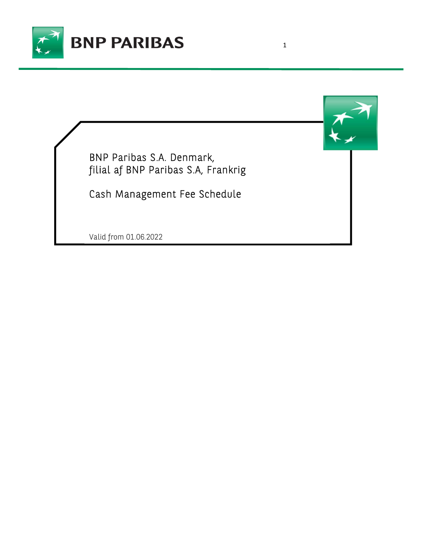

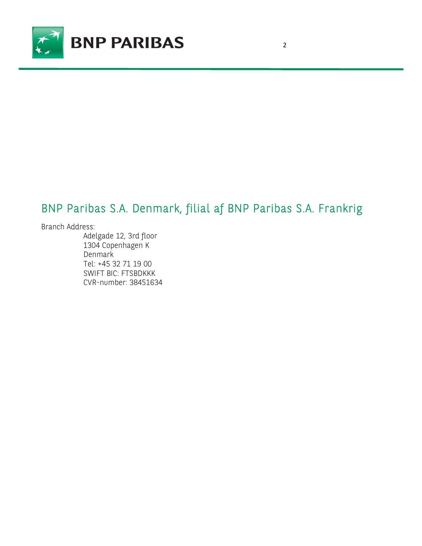

## BNP Paribas S.A. Denmark, filial af BNP Paribas S.A. Frankrig

### Branch Address:

Adelgade 12, 3rd floor 1304 Copenhagen K Denmark Tel: +45 32 71 19 00 SWIFT BIC: FTSBDKKK CVR-number: 38451634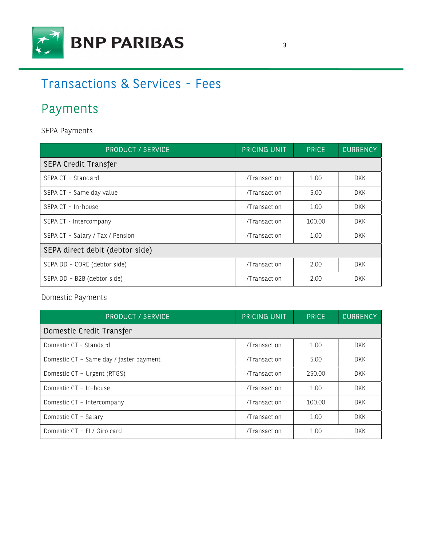

# Transactions & Services - Fees

# Payments

SEPA Payments

| <b>PRODUCT / SERVICE</b>         | <b>PRICING UNIT</b> | <b>PRICE</b> | <b>CURRENCY</b> |  |
|----------------------------------|---------------------|--------------|-----------------|--|
| <b>SEPA Credit Transfer</b>      |                     |              |                 |  |
| SEPA CT - Standard               | /Transaction        | 1.00         | DKK             |  |
| SEPA CT - Same day value         | /Transaction        | 5.00         | DKK             |  |
| SEPA CT - In-house               | /Transaction        | 1.00         | <b>DKK</b>      |  |
| SEPA CT - Intercompany           | /Transaction        | 100.00       | <b>DKK</b>      |  |
| SEPA CT - Salary / Tax / Pension | /Transaction        | 1.00         | DKK.            |  |
| SEPA direct debit (debtor side)  |                     |              |                 |  |
| SEPA DD - CORE (debtor side)     | /Transaction        | 2.00         | <b>DKK</b>      |  |
| SEPA DD - B2B (debtor side)      | /Transaction        | 2.00         | <b>DKK</b>      |  |

Domestic Payments

| <b>PRODUCT / SERVICE</b>                | PRICING UNIT | <b>PRICE</b> | <b>CURRENCY</b> |  |
|-----------------------------------------|--------------|--------------|-----------------|--|
| Domestic Credit Transfer                |              |              |                 |  |
| Domestic CT - Standard                  | /Transaction | 1.00         | <b>DKK</b>      |  |
| Domestic CT - Same day / faster payment | /Transaction | 5.00         | <b>DKK</b>      |  |
| Domestic CT - Urgent (RTGS)             | /Transaction | 250.00       | <b>DKK</b>      |  |
| Domestic CT - In-house                  | /Transaction | 1.00         | DKK.            |  |
| Domestic CT - Intercompany              | /Transaction | 100.00       | DKK.            |  |
| Domestic CT - Salary                    | /Transaction | 1.00         | <b>DKK</b>      |  |
| Domestic CT - FI / Giro card            | /Transaction | 1.00         | <b>DKK</b>      |  |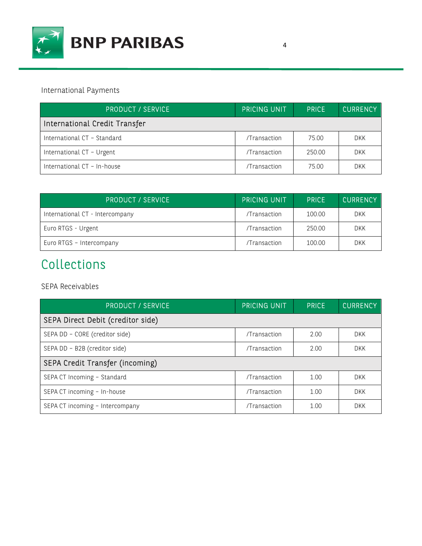

International Payments

| <b>PRODUCT / SERVICE</b>      | <b>PRICING UNIT</b> | <b>PRICE</b> | <b>CURRENCY</b> |
|-------------------------------|---------------------|--------------|-----------------|
| International Credit Transfer |                     |              |                 |
| International CT - Standard   | /Transaction        | 75.00        | <b>DKK</b>      |
| International CT - Urgent     | /Transaction        | 250.00       | <b>DKK</b>      |
| International CT - In-house   | /Transaction        | 75.00        | DKK             |

| <b>PRODUCT / SERVICE</b>        | <b>PRICING UNIT</b> | <b>PRICE</b> | <b>CURRENCY</b> |
|---------------------------------|---------------------|--------------|-----------------|
| International CT - Intercompany | /Transaction        | 100.00       | <b>DKK</b>      |
| Euro RTGS - Urgent              | /Transaction        | 250.00       | <b>DKK</b>      |
| Euro RTGS - Intercompany        | /Transaction        | 100.00       | <b>DKK</b>      |

# Collections

SEPA Receivables

| <b>PRODUCT / SERVICE</b>          | <b>PRICING UNIT</b> | <b>PRICE</b> | <b>CURRENCY</b> |
|-----------------------------------|---------------------|--------------|-----------------|
| SEPA Direct Debit (creditor side) |                     |              |                 |
| SEPA DD - CORE (creditor side)    | /Transaction        | 2.00         | <b>DKK</b>      |
| SEPA DD - B2B (creditor side)     | /Transaction        | 2.00         | <b>DKK</b>      |
| SEPA Credit Transfer (incoming)   |                     |              |                 |
| SEPA CT Incoming - Standard       | /Transaction        | 1.00         | DKK.            |
| SEPA CT incoming - In-house       | /Transaction        | 1.00         | <b>DKK</b>      |
| SEPA CT incoming - Intercompany   | /Transaction        | 1.00         | <b>DKK</b>      |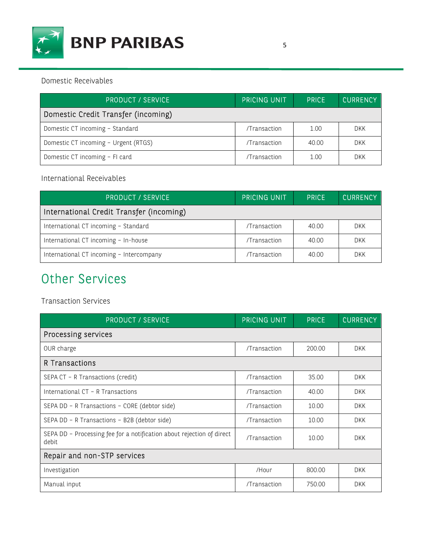

| <b>PRODUCT / SERVICE</b>             | <b>PRICING UNIT</b> | <b>PRICE</b> | <b>CURRENCY</b> |
|--------------------------------------|---------------------|--------------|-----------------|
| Domestic Credit Transfer (incoming)  |                     |              |                 |
| Domestic CT incoming - Standard      | /Transaction        | 1.00         | <b>DKK</b>      |
| Domestic CT incoming - Urgent (RTGS) | /Transaction        | 40.00        | <b>DKK</b>      |
| Domestic CT incoming - FI card       | /Transaction        | 1.00         | <b>DKK</b>      |

### International Receivables

| <b>PRODUCT / SERVICE</b>                 | <b>PRICING UNIT</b> | <b>PRICE</b> | <b>CURRENCY</b> |
|------------------------------------------|---------------------|--------------|-----------------|
| International Credit Transfer (incoming) |                     |              |                 |
| International CT incoming - Standard     | /Transaction        | 40.00        | DKK             |
| International CT incoming - In-house     | /Transaction        | 40.00        | <b>DKK</b>      |
| International CT incoming - Intercompany | /Transaction        | 40.00        | <b>DKK</b>      |

# Other Services

## Transaction Services

| <b>PRODUCT / SERVICE</b>                                                       | <b>PRICING UNIT</b> | <b>PRICE</b> | <b>CURRENCY</b> |  |
|--------------------------------------------------------------------------------|---------------------|--------------|-----------------|--|
| Processing services                                                            |                     |              |                 |  |
| OUR charge                                                                     | /Transaction        | 200.00       | <b>DKK</b>      |  |
| R Transactions                                                                 |                     |              |                 |  |
| SEPA CT - R Transactions (credit)                                              | /Transaction        | 35.00        | <b>DKK</b>      |  |
| International CT - R Transactions                                              | /Transaction        | 40.00        | <b>DKK</b>      |  |
| SEPA DD - R Transactions - CORE (debtor side)                                  | /Transaction        | 10.00        | <b>DKK</b>      |  |
| SEPA DD - R Transactions - B2B (debtor side)                                   | /Transaction        | 10.00        | <b>DKK</b>      |  |
| SEPA DD - Processing fee for a notification about rejection of direct<br>debit | /Transaction        | 10.00        | <b>DKK</b>      |  |
| Repair and non-STP services                                                    |                     |              |                 |  |
| Investigation                                                                  | /Hour               | 800.00       | <b>DKK</b>      |  |
| Manual input                                                                   | /Transaction        | 750.00       | <b>DKK</b>      |  |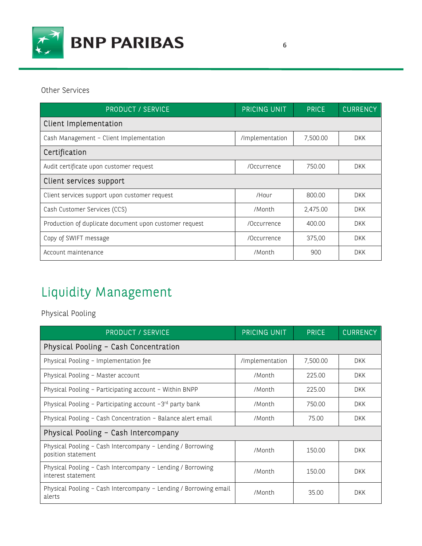

Other Services

| <b>PRODUCT / SERVICE</b>                               | <b>PRICING UNIT</b> | <b>PRICE</b> | <b>CURRENCY</b> |  |
|--------------------------------------------------------|---------------------|--------------|-----------------|--|
| Client Implementation                                  |                     |              |                 |  |
| Cash Management - Client Implementation                | /Implementation     | 7,500.00     | <b>DKK</b>      |  |
| Certification                                          |                     |              |                 |  |
| Audit certificate upon customer request                | /Occurrence         | 750.00       | <b>DKK</b>      |  |
| Client services support                                |                     |              |                 |  |
| Client services support upon customer request          | /Hour               | 800.00       | DKK             |  |
| Cash Customer Services (CCS)                           | /Month              | 2,475.00     | DKK.            |  |
| Production of duplicate document upon customer request | /Occurrence         | 400.00       | <b>DKK</b>      |  |
| Copy of SWIFT message                                  | /Occurrence         | 375,00       | DKK             |  |
| Account maintenance                                    | /Month              | 900          | <b>DKK</b>      |  |

# Liquidity Management

Physical Pooling

| <b>PRODUCT / SERVICE</b>                                                         | <b>PRICING UNIT</b> | <b>PRICE</b> | <b>CURRENCY</b> |  |
|----------------------------------------------------------------------------------|---------------------|--------------|-----------------|--|
| Physical Pooling - Cash Concentration                                            |                     |              |                 |  |
| Physical Pooling - Implementation fee                                            | /Implementation     | 7,500.00     | <b>DKK</b>      |  |
| Physical Pooling - Master account                                                | /Month              | 225.00       | DKK             |  |
| Physical Pooling - Participating account - Within BNPP                           | /Month              | 225.00       | <b>DKK</b>      |  |
| Physical Pooling - Participating account -3rd party bank                         | /Month              | 750.00       | DKK.            |  |
| Physical Pooling - Cash Concentration - Balance alert email                      | /Month              | 75.00        | <b>DKK</b>      |  |
| Physical Pooling - Cash Intercompany                                             |                     |              |                 |  |
| Physical Pooling - Cash Intercompany - Lending / Borrowing<br>position statement | /Month              | 150.00       | <b>DKK</b>      |  |
| Physical Pooling - Cash Intercompany - Lending / Borrowing<br>interest statement | /Month              | 150.00       | <b>DKK</b>      |  |
| Physical Pooling - Cash Intercompany - Lending / Borrowing email<br>alerts       | /Month              | 35.00        | <b>DKK</b>      |  |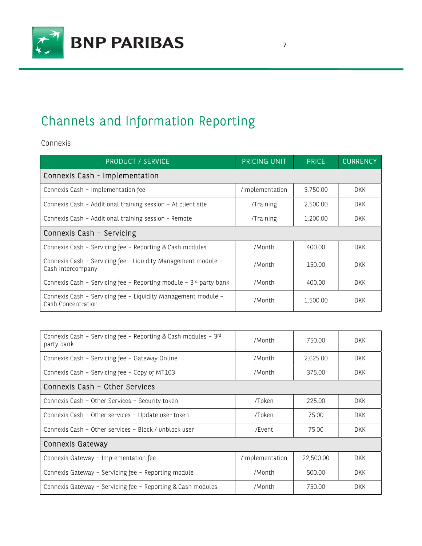

# Channels and Information Reporting

Connexis

| <b>PRODUCT / SERVICE</b>                                                            | <b>PRICING UNIT</b> | <b>PRICE</b> | <b>CURRENCY</b> |  |
|-------------------------------------------------------------------------------------|---------------------|--------------|-----------------|--|
| Connexis Cash - Implementation                                                      |                     |              |                 |  |
| Connexis Cash - Implementation fee                                                  | /Implementation     | 3,750.00     | DKK.            |  |
| Connexis Cash - Additional training session - At client site                        | /Training           | 2,500.00     | <b>DKK</b>      |  |
| Connexis Cash - Additional training session - Remote                                | /Training           | 1,200.00     | DKK.            |  |
| Connexis Cash - Servicing                                                           |                     |              |                 |  |
| Connexis Cash - Servicing fee - Reporting & Cash modules                            | /Month              | 400.00       | <b>DKK</b>      |  |
| Connexis Cash - Servicing fee - Liquidity Management module -<br>Cash Intercompany  | /Month              | 150.00       | <b>DKK</b>      |  |
| Connexis Cash - Servicing fee - Reporting module - $3rd$ party bank                 | /Month              | 400.00       | <b>DKK</b>      |  |
| Connexis Cash - Servicing fee - Liquidity Management module -<br>Cash Concentration | /Month              | 1,500.00     | <b>DKK</b>      |  |

| Connexis Cash - Servicing fee - Reporting & Cash modules - 3rd<br>party bank | /Month          | 750.00    | DKK.       |  |
|------------------------------------------------------------------------------|-----------------|-----------|------------|--|
| Connexis Cash - Servicing fee - Gateway Online                               | /Month          | 2,625.00  | <b>DKK</b> |  |
| Connexis Cash - Servicing fee - Copy of MT103                                | /Month          | 375.00    | DKK.       |  |
| Connexis Cash - Other Services                                               |                 |           |            |  |
| Connexis Cash - Other Services - Security token                              | /Token          | 225.00    | <b>DKK</b> |  |
| Connexis Cash - Other services - Update user token                           | /Token          | 75.00     | <b>DKK</b> |  |
| Connexis Cash - Other services - Block / unblock user                        | /Event          | 75.00     | <b>DKK</b> |  |
| <b>Connexis Gateway</b>                                                      |                 |           |            |  |
| Connexis Gateway - Implementation fee                                        | /Implementation | 22,500.00 | <b>DKK</b> |  |
| Connexis Gateway - Servicing fee - Reporting module                          | /Month          | 500.00    | <b>DKK</b> |  |
| Connexis Gateway - Servicing fee - Reporting & Cash modules                  | /Month          | 750.00    | <b>DKK</b> |  |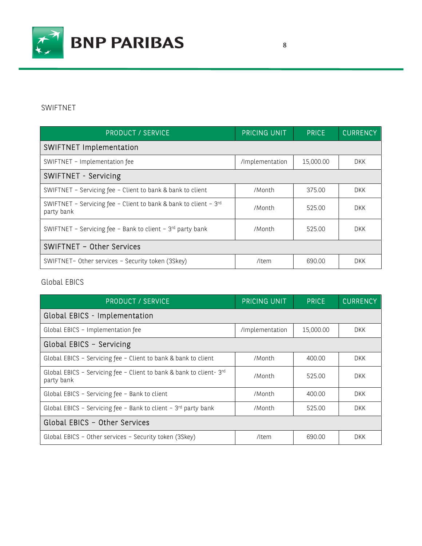

### SWIFTNET

| <b>PRODUCT / SERVICE</b>                                                       | <b>PRICING UNIT</b> | <b>PRICE</b> | <b>CURRENCY</b> |  |
|--------------------------------------------------------------------------------|---------------------|--------------|-----------------|--|
| <b>SWIFTNET Implementation</b>                                                 |                     |              |                 |  |
| SWIFTNET - Implementation fee                                                  | /Implementation     | 15,000.00    | <b>DKK</b>      |  |
| SWIFTNET - Servicing                                                           |                     |              |                 |  |
| SWIFTNET - Servicing fee - Client to bank & bank to client                     | /Month              | 375.00       | <b>DKK</b>      |  |
| SWIFTNET - Servicing fee - Client to bank & bank to client - 3rd<br>party bank | /Month              | 525.00       | DKK.            |  |
| SWIFTNET - Servicing fee - Bank to client - $3rd$ party bank                   | /Month              | 525.00       | <b>DKK</b>      |  |
| SWIFTNET - Other Services                                                      |                     |              |                 |  |
| SWIFTNET- Other services - Security token (3Skey)                              | /Item               | 690.00       | <b>DKK</b>      |  |

Global EBICS

| <b>PRODUCT 7 SERVICE</b>                                                         | <b>PRICING UNIT</b> | <b>PRICE</b> | <b>CURRENCY</b> |  |  |
|----------------------------------------------------------------------------------|---------------------|--------------|-----------------|--|--|
| Global EBICS - Implementation                                                    |                     |              |                 |  |  |
| Global EBICS - Implementation fee                                                | /Implementation     | 15,000.00    | DKK.            |  |  |
| Global EBICS - Servicing                                                         |                     |              |                 |  |  |
| Global EBICS - Servicing fee - Client to bank & bank to client                   | /Month              | 400.00       | <b>DKK</b>      |  |  |
| Global EBICS - Servicing fee - Client to bank & bank to client-3rd<br>party bank | /Month              | 525.00       | DKK.            |  |  |
| Global EBICS - Servicing fee - Bank to client                                    | /Month              | 400.00       | DKK.            |  |  |
| Global EBICS - Servicing fee - Bank to client - 3rd party bank                   | /Month              | 525.00       | <b>DKK</b>      |  |  |
| Global EBICS - Other Services                                                    |                     |              |                 |  |  |
| Global EBICS - Other services - Security token (3Skey)                           | /Item               | 690.00       | <b>DKK</b>      |  |  |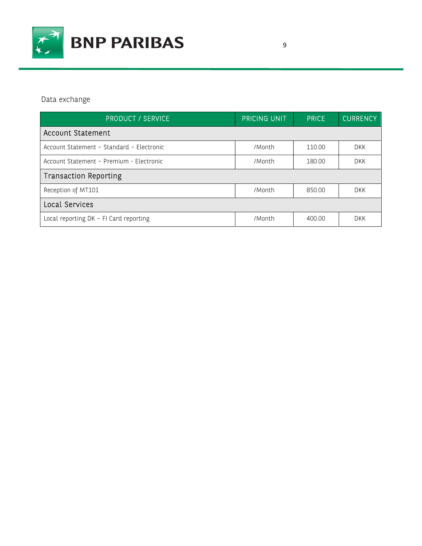

Data exchange

| <b>PRODUCT / SERVICE</b>                  | <b>PRICING UNIT</b> | <b>PRICE</b> | <b>CURRENCY</b> |
|-------------------------------------------|---------------------|--------------|-----------------|
| <b>Account Statement</b>                  |                     |              |                 |
| Account Statement - Standard - Electronic | /Month              | 110.00       | <b>DKK</b>      |
| Account Statement - Premium - Electronic  | /Month              | 180.00       | <b>DKK</b>      |
| <b>Transaction Reporting</b>              |                     |              |                 |
| Reception of MT101                        | /Month              | 850.00       | DKK.            |
| Local Services                            |                     |              |                 |
| Local reporting DK - FI Card reporting    | /Month              | 400.00       | <b>DKK</b>      |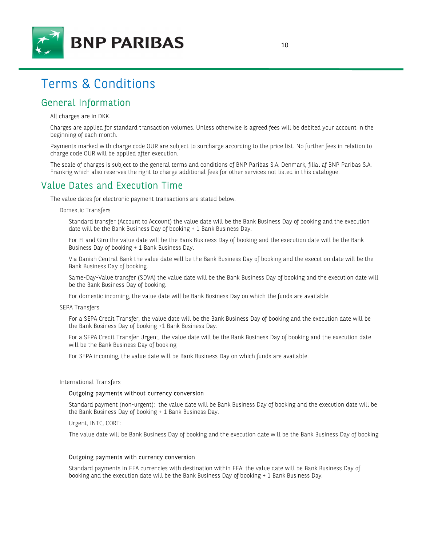

## Terms & Conditions

## General Information

All charges are in DKK.

Charges are applied for standard transaction volumes. Unless otherwise is agreed fees will be debited your account in the beginning of each month.

Payments marked with charge code OUR are subject to surcharge according to the price list. No further fees in relation to charge code OUR will be applied after execution.

The scale of charges is subject to the general terms and conditions of BNP Paribas S.A. Denmark, filial af BNP Paribas S.A. Frankrig which also reserves the right to charge additional fees for other services not listed in this catalogue.

## Value Dates and Execution Time

The value dates for electronic payment transactions are stated below.

Domestic Transfers

Standard transfer (Account to Account) the value date will be the Bank Business Day of booking and the execution date will be the Bank Business Day of booking + 1 Bank Business Day.

For FI and Giro the value date will be the Bank Business Day of booking and the execution date will be the Bank Business Day of booking + 1 Bank Business Day.

Via Danish Central Bank the value date will be the Bank Business Day of booking and the execution date will be the Bank Business Day of booking.

Same-Day-Value transfer (SDVA) the value date will be the Bank Business Day of booking and the execution date will be the Bank Business Day of booking.

For domestic incoming, the value date will be Bank Business Day on which the funds are available.

SEPA Transfers

For a SEPA Credit Transfer, the value date will be the Bank Business Day of booking and the execution date will be the Bank Business Day of booking +1 Bank Business Day.

For a SEPA Credit Transfer Urgent, the value date will be the Bank Business Day of booking and the execution date will be the Bank Business Day of booking.

For SEPA incoming, the value date will be Bank Business Day on which funds are available.

#### International Transfers

### Outgoing payments without currency conversion

Standard payment (non-urgent): the value date will be Bank Business Day of booking and the execution date will be the Bank Business Day of booking + 1 Bank Business Day.

Urgent, INTC, CORT:

The value date will be Bank Business Day of booking and the execution date will be the Bank Business Day of booking

### Outgoing payments with currency conversion

Standard payments in EEA currencies with destination within EEA: the value date will be Bank Business Day of booking and the execution date will be the Bank Business Day of booking + 1 Bank Business Day.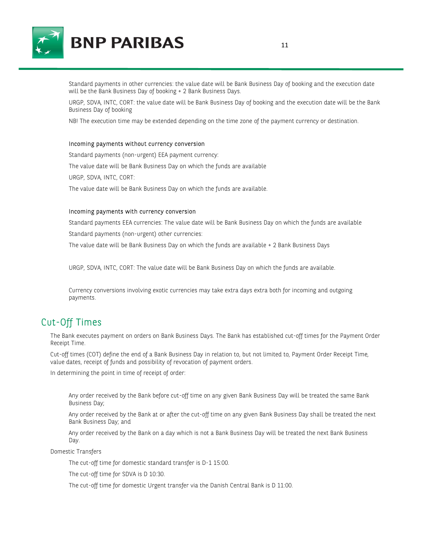

Standard payments in other currencies: the value date will be Bank Business Day of booking and the execution date will be the Bank Business Day of booking + 2 Bank Business Days.

URGP, SDVA, INTC, CORT: the value date will be Bank Business Day of booking and the execution date will be the Bank Business Day of booking

NB! The execution time may be extended depending on the time zone of the payment currency or destination.

### Incoming payments without currency conversion

Standard payments (non-urgent) EEA payment currency: The value date will be Bank Business Day on which the funds are available URGP, SDVA, INTC, CORT: The value date will be Bank Business Day on which the funds are available.

#### Incoming payments with currency conversion

Standard payments EEA currencies: The value date will be Bank Business Day on which the funds are available Standard payments (non-urgent) other currencies:

The value date will be Bank Business Day on which the funds are available + 2 Bank Business Days

URGP, SDVA, INTC, CORT: The value date will be Bank Business Day on which the funds are available.

Currency conversions involving exotic currencies may take extra days extra both for incoming and outgoing payments.

## Cut-Off Times

The Bank executes payment on orders on Bank Business Days. The Bank has established cut-off times for the Payment Order Receipt Time.

Cut-off times (COT) define the end of a Bank Business Day in relation to, but not limited to, Payment Order Receipt Time, value dates, receipt of funds and possibility of revocation of payment orders.

In determining the point in time of receipt of order:

Any order received by the Bank before cut-off time on any given Bank Business Day will be treated the same Bank Business Day;

Any order received by the Bank at or after the cut-off time on any given Bank Business Day shall be treated the next Bank Business Day; and

Any order received by the Bank on a day which is not a Bank Business Day will be treated the next Bank Business Day.

Domestic Transfers

The cut-off time for domestic standard transfer is D-1 15:00.

The cut-off time for SDVA is D 10:30.

The cut-off time for domestic Urgent transfer via the Danish Central Bank is D 11:00.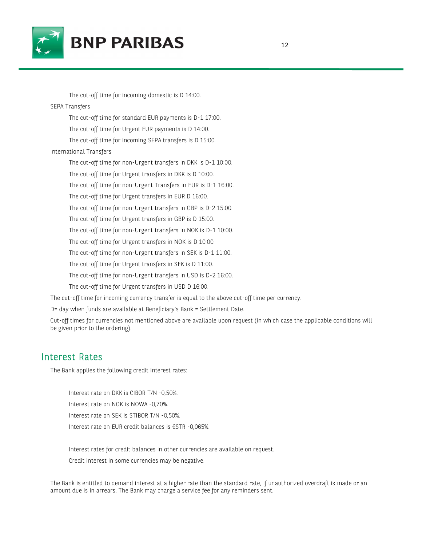

The cut-off time for incoming domestic is D 14:00. SEPA Transfers The cut-off time for standard EUR payments is D-1 17:00. The cut-off time for Urgent EUR payments is D 14:00. The cut-off time for incoming SEPA transfers is D 15:00. International Transfers The cut-off time for non-Urgent transfers in DKK is D-1 10:00. The cut-off time for Urgent transfers in DKK is D 10:00. The cut-off time for non-Urgent Transfers in EUR is D-1 16:00. The cut-off time for Urgent transfers in EUR D 16:00. The cut-off time for non-Urgent transfers in GBP is D-2 15:00. The cut-off time for Urgent transfers in GBP is D 15:00. The cut-off time for non-Urgent transfers in NOK is D-1 10:00. The cut-off time for Urgent transfers in NOK is D 10:00. The cut-off time for non-Urgent transfers in SEK is D-1 11:00. The cut-off time for Urgent transfers in SEK is D 11:00. The cut-off time for non-Urgent transfers in USD is D-2 16:00. The cut-off time for Urgent transfers in USD D 16:00.

The cut-off time for incoming currency transfer is equal to the above cut-off time per currency.

D= day when funds are available at Beneficiary's Bank = Settlement Date.

Cut-off times for currencies not mentioned above are available upon request (in which case the applicable conditions will be given prior to the ordering).

## Interest Rates

The Bank applies the following credit interest rates:

Interest rate on DKK is CIBOR T/N -0,50%. Interest rate on NOK is NOWA -0,70%. Interest rate on SEK is STIBOR T/N -0,50%. Interest rate on EUR credit balances is €STR -0,065%.

Interest rates for credit balances in other currencies are available on request.

Credit interest in some currencies may be negative.

The Bank is entitled to demand interest at a higher rate than the standard rate, if unauthorized overdraft is made or an amount due is in arrears. The Bank may charge a service fee for any reminders sent.